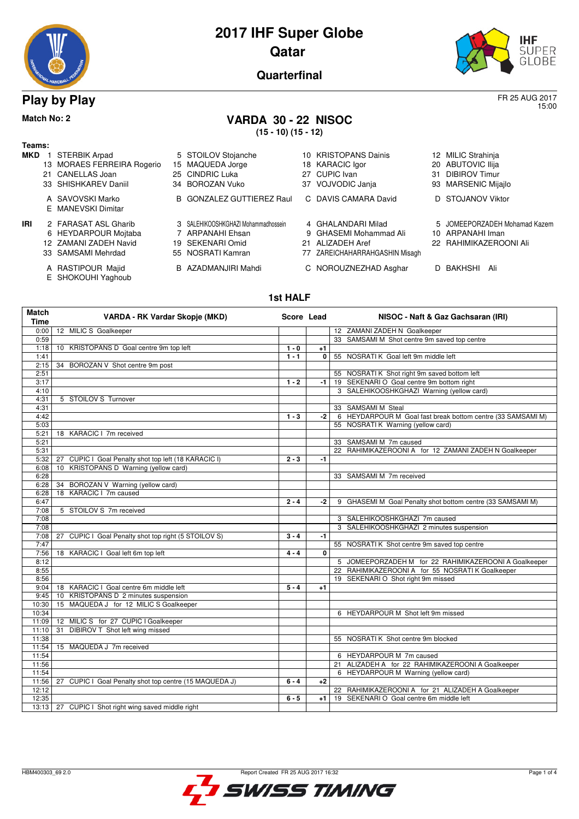

# **Play by Play** FR 25 AUG 2017

### **Match No: 2 VARDA 30 - 22 NISOC**

**(15 - 10) (15 - 12)**

| Teams: |                            |
|--------|----------------------------|
|        | <b>MKD</b> 1 STERBIK Arpad |

- 13 MORAES FERREIRA Rogerio 15 MAQUEDA Jorge 18 KARACIC Igor 20 ABUTOVIC Ilija 21 CANELLAS Joan 25 CINDRIC Luka 27 CUPIC Ivan 31 DIBIROV Timur
	- E MANEVSKI Dimitar
- **IRI** 2 FARASAT ASL Gharib 3 SALEHIKOOSHKGHAZI Mohammadhossein 4 GHALANDARI Milad 5 JOMEEPORZADEH Mohamad Kazem<br>6 HEYDARPOUR Mojtaba 7 ARPANAHI Ehsan 9 GHASEMI Mohammad Ali 10 ARPANAHI Iman 12 ZAMANI ZADEH Navid
	-
	-
	- E SHOKOUHI Yaghoub
- 
- 6 HEYDARPOUR Mojtaba 7 ARPANAHI Ehsan 9 GHASEMI Mohammad Ali 10 ARPANAHI Iman
- 
- 
- 

| 5 STOILOV Stojanche | 10 KRISTOPANS Dainis | 12 MILIC Strahinja |
|---------------------|----------------------|--------------------|
| 15 MAQUEDA Jorge    | 18 KARACIC Igor      | 20 ABUTOVIC Ilija  |

- 
- 
- A SAVOVSKI Marko B GONZALEZ GUTTIEREZ Raul C DAVIS CAMARA David D STOJANOV Viktor
	-
	-
	-
- 33 SAMSAMI Mehrdad 55 NOSRATI Kamran 77 ZAREICHAHARRAHGASHIN Misagh
- A RASTIPOUR Majid B AZADMANJIRI Mahdi C NOROUZNEZHAD Asghar D BAKHSHI Ali

- 
- 93 MARSENIC Mijajlo
- 
- 
- 
- 
- 

**1st HALF**

| <b>Match</b> | VARDA - RK Vardar Skopje (MKD)                         | Score Lead |              | NISOC - Naft & Gaz Gachsaran (IRI)                          |
|--------------|--------------------------------------------------------|------------|--------------|-------------------------------------------------------------|
| Time         |                                                        |            |              |                                                             |
| 0:00         | 12 MILIC S Goalkeeper                                  |            |              | 12 ZAMANI ZADEH N Goalkeeper                                |
| 0:59         |                                                        |            |              | 33 SAMSAMI M Shot centre 9m saved top centre                |
| 1:18         | 10 KRISTOPANS D Goal centre 9m top left                | $1 - 0$    | $+1$         |                                                             |
| 1:41         |                                                        | $1 - 1$    | $\mathbf{0}$ | 55 NOSRATI K Goal left 9m middle left                       |
| 2:15         | BOROZAN V Shot centre 9m post<br>34                    |            |              |                                                             |
| 2:51         |                                                        |            |              | 55 NOSRATI K Shot right 9m saved bottom left                |
| 3:17         |                                                        | $1 - 2$    | -1           | 19 SEKENARI O Goal centre 9m bottom right                   |
| 4:10         |                                                        |            |              | 3 SALEHIKOOSHKGHAZI Warning (yellow card)                   |
| 4:31         | 5 STOILOV S Turnover                                   |            |              |                                                             |
| 4:31         |                                                        |            |              | 33 SAMSAMI M Steal                                          |
| 4:42         |                                                        | $1 - 3$    | -2           | 6 HEYDARPOUR M Goal fast break bottom centre (33 SAMSAMI M) |
| 5:03         |                                                        |            |              | 55 NOSRATIK Warning (yellow card)                           |
| 5:21         | 18 KARACIC I 7m received                               |            |              |                                                             |
| 5:21         |                                                        |            |              | 33 SAMSAMI M 7m caused                                      |
| 5:31         |                                                        |            |              | 22 RAHIMIKAZEROONI A for 12 ZAMANI ZADEH N Goalkeeper       |
| 5:32         | 27 CUPIC I Goal Penalty shot top left (18 KARACIC I)   | $2 - 3$    | -1           |                                                             |
| 6:08         | 10 KRISTOPANS D Warning (yellow card)                  |            |              |                                                             |
| 6:28         |                                                        |            |              | 33 SAMSAMI M 7m received                                    |
| 6:28         | 34 BOROZAN V Warning (yellow card)                     |            |              |                                                             |
| 6:28         | 18 KARACIC   7m caused                                 |            |              |                                                             |
| 6:47         |                                                        | $2 - 4$    | -2           | 9 GHASEMI M Goal Penalty shot bottom centre (33 SAMSAMI M)  |
| 7:08         | 5 STOILOV S 7m received                                |            |              |                                                             |
| 7:08         |                                                        |            |              | 3 SALEHIKOOSHKGHAZI 7m caused                               |
| 7:08         |                                                        |            |              | 3 SALEHIKOOSHKGHAZI 2 minutes suspension                    |
| 7:08         | 27 CUPIC I Goal Penalty shot top right (5 STOILOV S)   | $3 - 4$    | -1           |                                                             |
| 7:47         |                                                        |            |              | 55 NOSRATI K Shot centre 9m saved top centre                |
| 7:56         | 18 KARACIC I Goal left 6m top left                     | $4 - 4$    | 0            |                                                             |
| 8:12         |                                                        |            |              | 5 JOMEEPORZADEH M for 22 RAHIMIKAZEROONI A Goalkeeper       |
| 8:55         |                                                        |            |              | 22 RAHIMIKAZEROONI A for 55 NOSRATI K Goalkeeper            |
| 8:56         |                                                        |            |              | 19 SEKENARI O Shot right 9m missed                          |
| 9:04         | 18 KARACIC I Goal centre 6m middle left                | $5 - 4$    | $+1$         |                                                             |
| 9:45         | 10 KRISTOPANS D 2 minutes suspension                   |            |              |                                                             |
| 10:30        | 15 MAQUEDA J for 12 MILIC S Goalkeeper                 |            |              |                                                             |
| 10:34        |                                                        |            |              | 6 HEYDARPOUR M Shot left 9m missed                          |
| 11:09        | 12 MILIC S for 27 CUPIC I Goalkeeper                   |            |              |                                                             |
| 11:10        | <b>DIBIROV T Shot left wing missed</b><br>31           |            |              |                                                             |
| 11:38        |                                                        |            |              | 55 NOSRATIK Shot centre 9m blocked                          |
| 11:54        | 15 MAQUEDA J 7m received                               |            |              |                                                             |
| 11:54        |                                                        |            |              | 6 HEYDARPOUR M 7m caused                                    |
| 11:56        |                                                        |            |              | 21 ALIZADEH A for 22 RAHIMIKAZEROONI A Goalkeeper           |
| 11:54        |                                                        |            |              | 6 HEYDARPOUR M Warning (yellow card)                        |
| 11:56        | 27 CUPIC I Goal Penalty shot top centre (15 MAQUEDA J) | $6 - 4$    | $+2$         |                                                             |
| 12:12        |                                                        |            |              | 22 RAHIMIKAZEROONI A for 21 ALIZADEH A Goalkeeper           |
| 12:35        |                                                        | $6 - 5$    | $+1$         | 19 SEKENARI O Goal centre 6m middle left                    |
|              | 13:13   27 CUPIC I Shot right wing saved middle right  |            |              |                                                             |

SWISS TIMING



15:00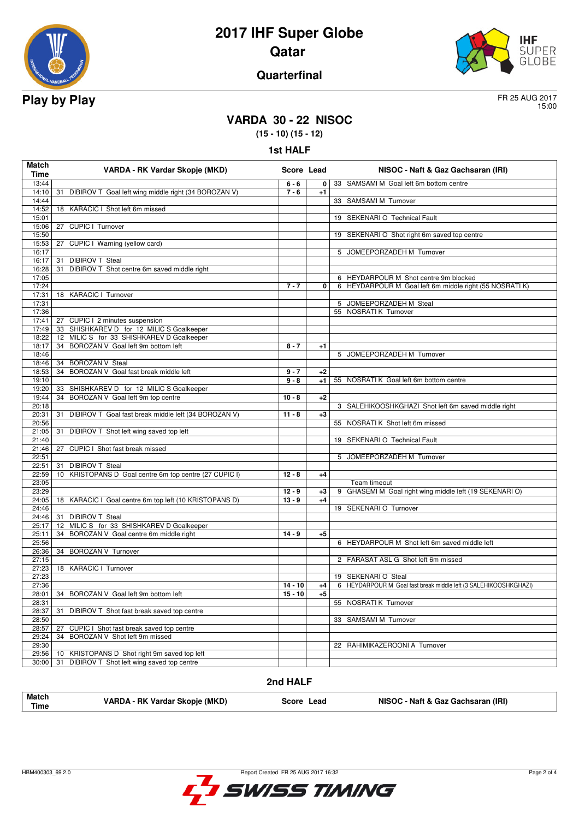

# **2017 IHF Super Globe Qatar**



### **Quarterfinal**

15:00

# **VARDA 30 - 22 NISOC**

**(15 - 10) (15 - 12)**

| Match          | VARDA - RK Vardar Skopje (MKD)                             |                      | Score Lead   | NISOC - Naft & Gaz Gachsaran (IRI)                               |
|----------------|------------------------------------------------------------|----------------------|--------------|------------------------------------------------------------------|
| Time           |                                                            |                      |              |                                                                  |
| 13:44          |                                                            | $6 - 6$              | 0            | 33 SAMSAMI M Goal left 6m bottom centre                          |
| 14:10<br>14:44 | DIBIROV T Goal left wing middle right (34 BOROZAN V)<br>31 | $7 - 6$              | $+1$         | 33 SAMSAMI M Turnover                                            |
| 14:52          | 18 KARACIC I Shot left 6m missed                           |                      |              |                                                                  |
| 15:01          |                                                            |                      |              | 19 SEKENARI O Technical Fault                                    |
| 15:06          | CUPIC I Turnover<br>27                                     |                      |              |                                                                  |
| 15:50          |                                                            |                      |              | 19 SEKENARIO Shot right 6m saved top centre                      |
| 15:53          | 27 CUPIC I Warning (yellow card)                           |                      |              |                                                                  |
| 16:17          |                                                            |                      |              | 5 JOMEEPORZADEH M Turnover                                       |
| 16:17          | <b>DIBIROV T Steal</b><br>31                               |                      |              |                                                                  |
| 16:28          | 31 DIBIROV T Shot centre 6m saved middle right             |                      |              |                                                                  |
| 17:05          |                                                            |                      |              | 6 HEYDARPOUR M Shot centre 9m blocked                            |
| 17:24          |                                                            | $7 - 7$              | 0            | 6 HEYDARPOUR M Goal left 6m middle right (55 NOSRATI K)          |
| 17:31          | 18 KARACIC I Turnover                                      |                      |              |                                                                  |
| 17:31          |                                                            |                      |              | 5 JOMEEPORZADEH M Steal                                          |
| 17:36          |                                                            |                      |              | 55 NOSRATI K Turnover                                            |
| 17:41          | 27 CUPIC I 2 minutes suspension                            |                      |              |                                                                  |
| 17:49          | 33 SHISHKAREV D for 12 MILIC S Goalkeeper                  |                      |              |                                                                  |
| 18:22          | 12 MILIC S for 33 SHISHKAREV D Goalkeeper                  |                      |              |                                                                  |
| 18:17          | 34 BOROZAN V Goal left 9m bottom left                      | $8 - 7$              | $+1$         |                                                                  |
| 18:46          |                                                            |                      |              | 5 JOMEEPORZADEH M Turnover                                       |
| 18:46          | 34 BOROZAN V Steal                                         |                      |              |                                                                  |
| 18:53          | 34 BOROZAN V Goal fast break middle left                   | $9 - 7$              | $+2$         |                                                                  |
| 19:10          |                                                            | $9 - 8$              | $+1$         | 55 NOSRATI K Goal left 6m bottom centre                          |
| 19:20          | 33 SHISHKAREV D for 12 MILIC S Goalkeeper                  |                      |              |                                                                  |
| 19:44          | 34 BOROZAN V Goal left 9m top centre                       | $10 - 8$             | $+2$         |                                                                  |
| 20:18          |                                                            |                      |              | 3 SALEHIKOOSHKGHAZI Shot left 6m saved middle right              |
| 20:31          | 31 DIBIROV T Goal fast break middle left (34 BOROZAN V)    | $11 - 8$             | $+3$         |                                                                  |
| 20:56          |                                                            |                      |              | 55 NOSRATI K Shot left 6m missed                                 |
| 21:05          | DIBIROV T Shot left wing saved top left<br>31              |                      |              |                                                                  |
| 21:40          |                                                            |                      |              | 19 SEKENARI O Technical Fault                                    |
| 21:46          | CUPIC I Shot fast break missed<br>27                       |                      |              |                                                                  |
| 22:51          |                                                            |                      |              | 5 JOMEEPORZADEH M Turnover                                       |
| 22:51          | <b>DIBIROV T Steal</b><br>31                               |                      |              |                                                                  |
| 22:59          | 10 KRISTOPANS D Goal centre 6m top centre (27 CUPIC I)     | $12 - 8$             | $+4$         |                                                                  |
| 23:05          |                                                            |                      |              | Team timeout                                                     |
| 23:29<br>24:05 |                                                            | $12 - 9$<br>$13 - 9$ | $+3$<br>$+4$ | 9 GHASEMI M Goal right wing middle left (19 SEKENARI O)          |
| 24:46          | 18 KARACIC I Goal centre 6m top left (10 KRISTOPANS D)     |                      |              | 19 SEKENARIO Turnover                                            |
| 24:46          | 31 DIBIROV T Steal                                         |                      |              |                                                                  |
| 25:17          | 12 MILIC S for 33 SHISHKAREV D Goalkeeper                  |                      |              |                                                                  |
| 25:11          | BOROZAN V Goal centre 6m middle right<br>34                | $14 - 9$             | $+5$         |                                                                  |
| 25:56          |                                                            |                      |              | 6 HEYDARPOUR M Shot left 6m saved middle left                    |
| 26:36          | 34 BOROZAN V Turnover                                      |                      |              |                                                                  |
| 27:15          |                                                            |                      |              | 2 FARASAT ASL G Shot left 6m missed                              |
| 27:23          | 18 KARACIC I Turnover                                      |                      |              |                                                                  |
| 27:23          |                                                            |                      |              | 19 SEKENARIO Steal                                               |
| 27:36          |                                                            | $14 - 10$            | +4           | 6 HEYDARPOUR M Goal fast break middle left (3 SALEHIKOOSHKGHAZI) |
|                | 28:01 34 BOROZAN V Goal left 9m bottom left                | $15 - 10$            | $+5$         |                                                                  |
| 28:31          |                                                            |                      |              | 55 NOSRATI K Turnover                                            |
| 28:37          | 31<br>DIBIROV T Shot fast break saved top centre           |                      |              |                                                                  |
| 28:50          |                                                            |                      |              | SAMSAMI M Turnover<br>33                                         |
| 28:57          | 27<br>CUPIC I Shot fast break saved top centre             |                      |              |                                                                  |
| 29:24          | BOROZAN V Shot left 9m missed<br>34                        |                      |              |                                                                  |
| 29:30          |                                                            |                      |              | 22 RAHIMIKAZEROONI A Turnover                                    |
| 29:56          | KRISTOPANS D Shot right 9m saved top left<br>10            |                      |              |                                                                  |
| 30:00          | 31<br>DIBIROV T Shot left wing saved top centre            |                      |              |                                                                  |
|                |                                                            |                      |              |                                                                  |

#### **2nd HALF**

| <b>Match</b><br>VARDA - RK Vardar Skopje (MKD)<br><b>Time</b> | Score Lead | NISOC - Naft & Gaz Gachsaran (IRI) |
|---------------------------------------------------------------|------------|------------------------------------|
|---------------------------------------------------------------|------------|------------------------------------|

HBM400303\_69 2.0 Report Created FR 25 AUG 2017 16:32

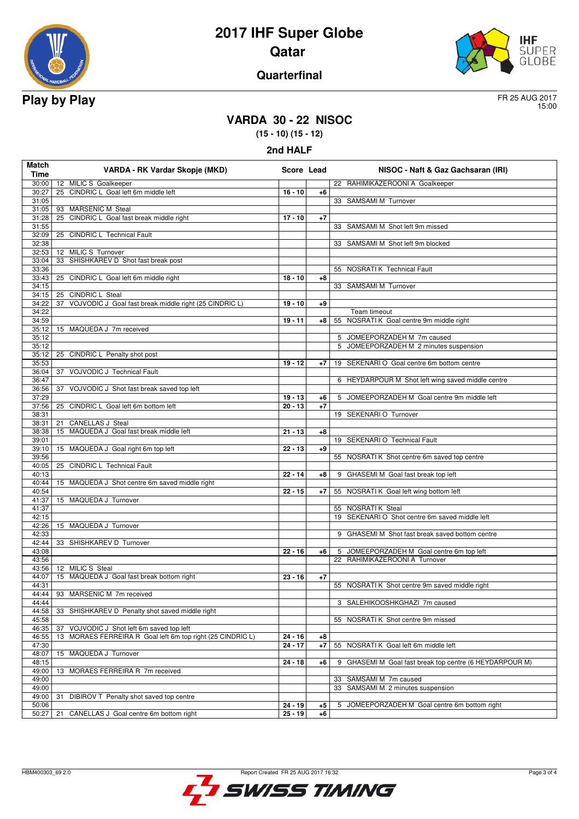

# **2017 IHF Super Globe Qatar**



### **Quarterfinal**

15:00

# **VARDA 30 - 22 NISOC**

**(15 - 10) (15 - 12) 2nd HALF**

| Match<br>Time  | VARDA - RK Vardar Skopje (MKD)                                | Score Lead |      | NISOC - Naft & Gaz Gachsaran (IRI)                         |
|----------------|---------------------------------------------------------------|------------|------|------------------------------------------------------------|
|                | 30:00   12 MILIC S Goalkeeper                                 |            |      | 22 RAHIMIKAZEROONI A Goalkeeper                            |
| 30:27          | 25 CINDRIC L Goal left 6m middle left                         | $16 - 10$  | $+6$ |                                                            |
| 31:05          |                                                               |            |      | 33 SAMSAMI M Turnover                                      |
|                | 31:05   93 MARSENIC M Steal                                   |            |      |                                                            |
| 31:28<br>31:55 | 25 CINDRIC L Goal fast break middle right                     | $17 - 10$  | $+7$ | 33 SAMSAMI M Shot left 9m missed                           |
| 32:09          | 25 CINDRIC L Technical Fault                                  |            |      |                                                            |
| 32:38          |                                                               |            |      | 33 SAMSAMI M Shot left 9m blocked                          |
|                | 32:53 12 MILIC S Turnover                                     |            |      |                                                            |
| 33:04          | 33 SHISHKAREV D Shot fast break post                          |            |      |                                                            |
| 33:36          |                                                               |            |      | 55 NOSRATI K Technical Fault                               |
| 33:43          | 25 CINDRIC L Goal left 6m middle right                        | $18 - 10$  | +8   |                                                            |
| 34:15<br>34:15 | 25 CINDRIC L Steal                                            |            |      | 33 SAMSAMI M Turnover                                      |
| 34:22          | 37 VOJVODIC J Goal fast break middle right (25 CINDRIC L)     | $19 - 10$  | $+9$ |                                                            |
| 34:22          |                                                               |            |      | Team timeout                                               |
| 34:59          |                                                               | $19 - 11$  | $+8$ | 55 NOSRATI K Goal centre 9m middle right                   |
| 35:12          | 15 MAQUEDA J 7m received                                      |            |      |                                                            |
| 35:12          |                                                               |            |      | 5 JOMEEPORZADEH M 7m caused                                |
| 35:12          |                                                               |            |      | 5 JOMEEPORZADEH M 2 minutes suspension                     |
| 35:12          | 25 CINDRIC L Penalty shot post                                |            |      |                                                            |
| 35:53          |                                                               | $19 - 12$  | $+7$ | 19 SEKENARIO Goal centre 6m bottom centre                  |
| 36:04<br>36:47 | 37 VOJVODIC J Technical Fault                                 |            |      | 6 HEYDARPOUR M Shot left wing saved middle centre          |
| 36:56          | 37 VOJVODIC J Shot fast break saved top left                  |            |      |                                                            |
| 37:29          |                                                               | $19 - 13$  | $+6$ | 5 JOMEEPORZADEH M Goal centre 9m middle left               |
| 37:56          | 25 CINDRIC L Goal left 6m bottom left                         | $20 - 13$  | $+7$ |                                                            |
| 38:31          |                                                               |            |      | 19 SEKENARI O Turnover                                     |
| 38:31          | <b>CANELLAS J Steal</b><br>21                                 |            |      |                                                            |
| 38:38          | 15 MAQUEDA J Goal fast break middle left                      | $21 - 13$  | $+8$ |                                                            |
| 39:01          |                                                               |            |      | 19 SEKENARI O Technical Fault                              |
| 39:10<br>39:56 | 15 MAQUEDA J Goal right 6m top left                           | $22 - 13$  | $+9$ | 55 NOSRATI K Shot centre 6m saved top centre               |
| 40:05          | 25 CINDRIC L Technical Fault                                  |            |      |                                                            |
| 40:13          |                                                               | $22 - 14$  | $+8$ | 9 GHASEMI M Goal fast break top left                       |
| 40:44          | 15 MAQUEDA J Shot centre 6m saved middle right                |            |      |                                                            |
| 40:54          |                                                               | $22 - 15$  | $+7$ | 55 NOSRATIK Goal left wing bottom left                     |
| 41:37          | 15 MAQUEDA J Turnover                                         |            |      |                                                            |
| 41:37          |                                                               |            |      | 55 NOSRATIK Steal                                          |
| 42:15<br>42:26 | 15 MAQUEDA J Turnover                                         |            |      | 19 SEKENARI O Shot centre 6m saved middle left             |
| 42:33          |                                                               |            |      | 9 GHASEMI M Shot fast break saved bottom centre            |
| 42:44          | 33 SHISHKAREV D Turnover                                      |            |      |                                                            |
| 43:08          |                                                               | $22 - 16$  | +6   | 5 JOMEEPORZADEH M Goal centre 6m top left                  |
| 43:56          |                                                               |            |      | 22 RAHIMIKAZEROONI A Turnover                              |
|                | 43:56 12 MILIC S Steal                                        |            |      |                                                            |
| 44:07          | 15 MAQUEDA J Goal fast break bottom right                     | $23 - 16$  | $+7$ |                                                            |
| 44:31          |                                                               |            |      | 55 NOSRATI K Shot centre 9m saved middle right             |
| 44:44<br>44:44 | 93 MARSENIC M 7m received                                     |            |      | 3 SALEHIKOOSHKGHAZI 7m caused                              |
| 44:58          | SHISHKAREV D Penalty shot saved middle right<br>33            |            |      |                                                            |
| 45:58          |                                                               |            |      | 55 NOSRATI K Shot centre 9m missed                         |
| 46:35          | VOJVODIC J Shot left 6m saved top left<br>37                  |            |      |                                                            |
| 46:55          | MORAES FERREIRA R Goal left 6m top right (25 CINDRIC L)<br>13 | $24 - 16$  | $+8$ |                                                            |
| 47:30          |                                                               | $24 - 17$  | $+7$ | 55 NOSRATI K Goal left 6m middle left                      |
| 48:07          | 15 MAQUEDA J Turnover                                         |            |      |                                                            |
| 48:15          |                                                               | $24 - 18$  | $+6$ | GHASEMI M Goal fast break top centre (6 HEYDARPOUR M)<br>9 |
| 49:00<br>49:00 | 13 MORAES FERREIRA R 7m received                              |            |      | 33 SAMSAMI M 7m caused                                     |
| 49:00          |                                                               |            |      | SAMSAMI M 2 minutes suspension<br>33                       |
| 49:00          | 31<br>DIBIROV T Penalty shot saved top centre                 |            |      |                                                            |
| 50:06          |                                                               | $24 - 19$  | $+5$ | 5 JOMEEPORZADEH M Goal centre 6m bottom right              |
| 50:27          | CANELLAS J Goal centre 6m bottom right<br>21                  | $25 - 19$  | $+6$ |                                                            |